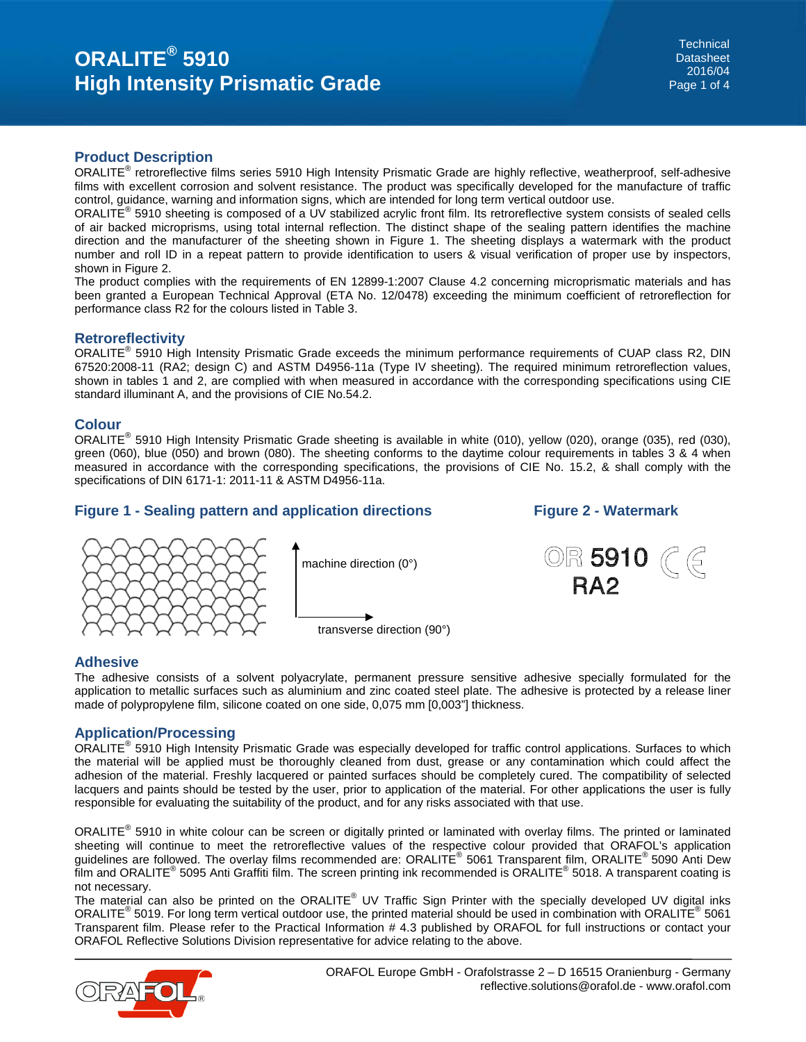#### **Product Description**

ORALITE® retroreflective films series 5910 High Intensity Prismatic Grade are highly reflective, weatherproof, self-adhesive films with excellent corrosion and solvent resistance. The product was specifically developed for the manufacture of traffic control, guidance, warning and information signs, which are intended for long term vertical outdoor use.

ORALITE® 5910 sheeting is composed of a UV stabilized acrylic front film. Its retroreflective system consists of sealed cells of air backed microprisms, using total internal reflection. The distinct shape of the sealing pattern identifies the machine direction and the manufacturer of the sheeting shown in Figure 1. The sheeting displays a watermark with the product number and roll ID in a repeat pattern to provide identification to users & visual verification of proper use by inspectors, shown in Figure 2.

The product complies with the requirements of EN 12899-1:2007 Clause 4.2 concerning microprismatic materials and has been granted a European Technical Approval (ETA No. 12/0478) exceeding the minimum coefficient of retroreflection for performance class R2 for the colours listed in Table 3.

#### **Retroreflectivity**

ORALITE<sup>®</sup> 5910 High Intensity Prismatic Grade exceeds the minimum performance requirements of CUAP class R2, DIN 67520:2008-11 (RA2; design C) and ASTM D4956-11a (Type IV sheeting). The required minimum retroreflection values, shown in tables 1 and 2, are complied with when measured in accordance with the corresponding specifications using CIE standard illuminant A, and the provisions of CIE No.54.2.

# **Colour**

ORALITE® 5910 High Intensity Prismatic Grade sheeting is available in white (010), yellow (020), orange (035), red (030), green (060), blue (050) and brown (080). The sheeting conforms to the daytime colour requirements in tables 3 & 4 when measured in accordance with the corresponding specifications, the provisions of CIE No. 15.2, & shall comply with the specifications of DIN 6171-1: 2011-11 & ASTM D4956-11a.

# **Figure 1 - Sealing pattern and application directions Figure 2 - Watermark**



transverse direction (90°)



#### **Adhesive**

The adhesive consists of a solvent polyacrylate, permanent pressure sensitive adhesive specially formulated for the application to metallic surfaces such as aluminium and zinc coated steel plate. The adhesive is protected by a release liner made of polypropylene film, silicone coated on one side, 0,075 mm [0,003"] thickness.

# **Application/Processing**

ORALITE<sup>®</sup> 5910 High Intensity Prismatic Grade was especially developed for traffic control applications. Surfaces to which the material will be applied must be thoroughly cleaned from dust, grease or any contamination which could affect the adhesion of the material. Freshly lacquered or painted surfaces should be completely cured. The compatibility of selected lacquers and paints should be tested by the user, prior to application of the material. For other applications the user is fully responsible for evaluating the suitability of the product, and for any risks associated with that use.

ORALITE® 5910 in white colour can be screen or digitally printed or laminated with overlay films. The printed or laminated sheeting will continue to meet the retroreflective values of the respective colour provided that ORAFOL's application guidelines are followed. The overlay films recommended are: ORALITE® 5061 Transparent film, ORALITE® 5090 Anti Dew film and ORALITE<sup>®</sup> 5095 Anti Graffiti film. The screen printing ink recommended is ORALITE<sup>®</sup> 5018. A transparent coating is not necessary.

The material can also be printed on the ORALITE® UV Traffic Sign Printer with the specially developed UV digital inks ORALITE<sup>®</sup> 5019. For long term vertical outdoor use, the printed material should be used in combination with ORALITE<sup>®</sup> 5061 Transparent film. Please refer to the Practical Information # 4.3 published by ORAFOL for full instructions or contact your ORAFOL Reflective Solutions Division representative for advice relating to the above.

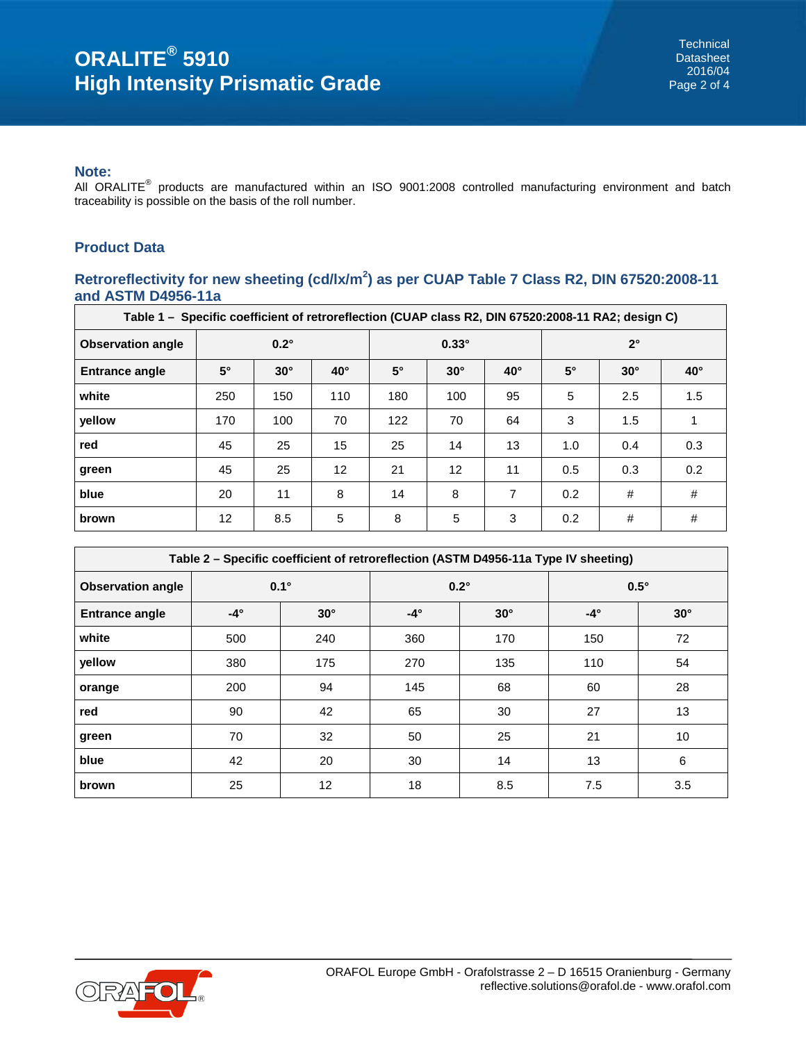#### **Note:**

All ORALITE® products are manufactured within an ISO 9001:2008 controlled manufacturing environment and batch traceability is possible on the basis of the roll number.

# **Product Data**

# **Retroreflectivity for new sheeting (cd/lx/m<sup>2</sup> ) as per CUAP Table 7 Class R2, DIN 67520:2008-11 and ASTM D4956-11a**

| Table 1 - Specific coefficient of retroreflection (CUAP class R2, DIN 67520:2008-11 RA2; design C) |             |            |            |              |                   |              |             |            |              |
|----------------------------------------------------------------------------------------------------|-------------|------------|------------|--------------|-------------------|--------------|-------------|------------|--------------|
| <b>Observation angle</b>                                                                           | $0.2^\circ$ |            |            | $0.33^\circ$ |                   |              | $2^{\circ}$ |            |              |
| <b>Entrance angle</b>                                                                              | $5^\circ$   | $30^\circ$ | $40^\circ$ | $5^\circ$    | $30^\circ$        | $40^{\circ}$ | $5^\circ$   | $30^\circ$ | $40^{\circ}$ |
| white                                                                                              | 250         | 150        | 110        | 180          | 100               | 95           | 5           | 2.5        | 1.5          |
| yellow                                                                                             | 170         | 100        | 70         | 122          | 70                | 64           | 3           | 1.5        |              |
| red                                                                                                | 45          | 25         | 15         | 25           | 14                | 13           | 1.0         | 0.4        | 0.3          |
| green                                                                                              | 45          | 25         | 12         | 21           | $12 \overline{ }$ | 11           | 0.5         | 0.3        | 0.2          |
| blue                                                                                               | 20          | 11         | 8          | 14           | 8                 | 7            | 0.2         | #          | #            |
| brown                                                                                              | 12          | 8.5        | 5          | 8            | 5                 | 3            | 0.2         | #          | #            |

| Table 2 - Specific coefficient of retroreflection (ASTM D4956-11a Type IV sheeting) |                          |     |                          |             |             |            |  |
|-------------------------------------------------------------------------------------|--------------------------|-----|--------------------------|-------------|-------------|------------|--|
| <b>Observation angle</b>                                                            | $0.1^\circ$              |     |                          | $0.2^\circ$ | $0.5^\circ$ |            |  |
| <b>Entrance angle</b>                                                               | $-4^\circ$<br>$30^\circ$ |     | $-4^\circ$<br>$30^\circ$ |             | $-4^\circ$  | $30^\circ$ |  |
| white                                                                               | 500                      | 240 | 360                      | 170         | 150         | 72         |  |
| yellow                                                                              | 380                      | 175 | 270                      | 135         | 110         | 54         |  |
| orange                                                                              | 200                      | 94  | 145                      | 68          | 60          | 28         |  |
| red                                                                                 | 90                       | 42  | 65                       | 30          | 27          | 13         |  |
| green                                                                               | 70                       | 32  | 50                       | 25          | 21          | 10         |  |
| blue                                                                                | 42                       | 20  | 30                       | 14          | 13          | 6          |  |
| brown                                                                               | 25                       | 12  | 18                       | 8.5         | 7.5         | 3.5        |  |

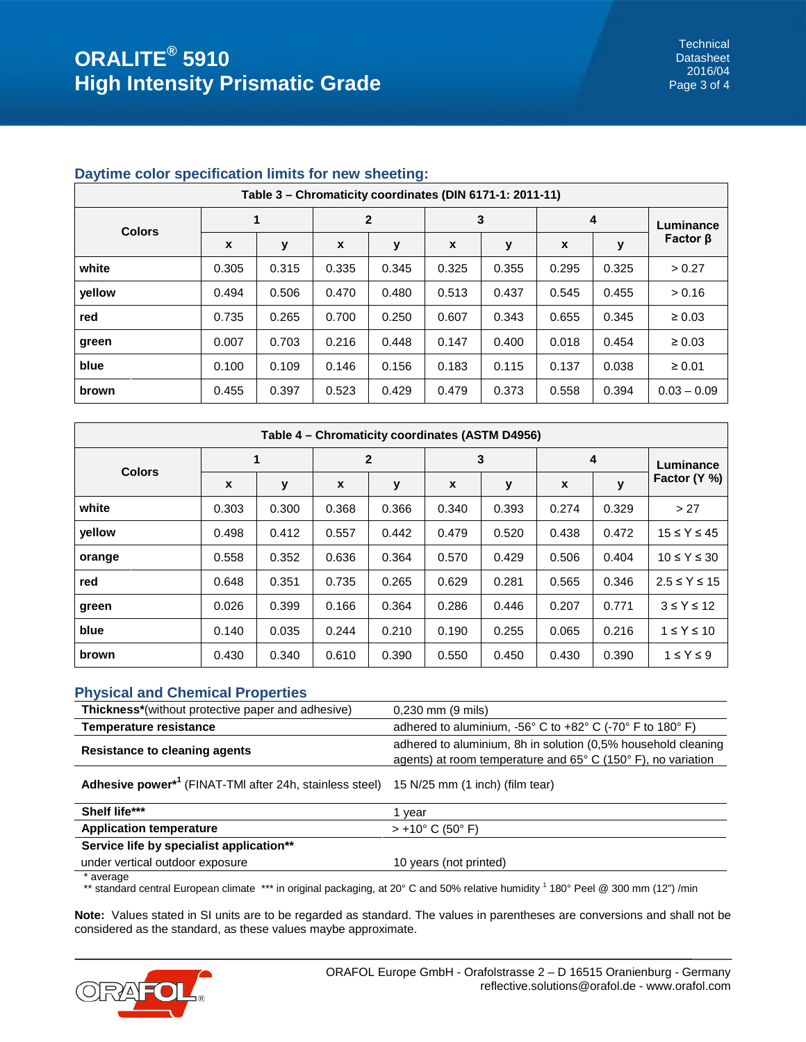## **Daytime color specification limits for new sheeting:**

| Table 3 – Chromaticity coordinates (DIN 6171-1: 2011-11) |                  |       |                  |       |       |       |       |       |                |
|----------------------------------------------------------|------------------|-------|------------------|-------|-------|-------|-------|-------|----------------|
| <b>Colors</b>                                            | 1                |       | $\mathbf{2}$     |       | 3     |       | 4     |       | Luminance      |
|                                                          | $\boldsymbol{x}$ | у     | $\boldsymbol{x}$ | y     | X     | y     | X     | у     | Factor $\beta$ |
| white                                                    | 0.305            | 0.315 | 0.335            | 0.345 | 0.325 | 0.355 | 0.295 | 0.325 | > 0.27         |
| vellow                                                   | 0.494            | 0.506 | 0.470            | 0.480 | 0.513 | 0.437 | 0.545 | 0.455 | > 0.16         |
| red                                                      | 0.735            | 0.265 | 0.700            | 0.250 | 0.607 | 0.343 | 0.655 | 0.345 | $\geq 0.03$    |
| green                                                    | 0.007            | 0.703 | 0.216            | 0.448 | 0.147 | 0.400 | 0.018 | 0.454 | $\geq 0.03$    |
| blue                                                     | 0.100            | 0.109 | 0.146            | 0.156 | 0.183 | 0.115 | 0.137 | 0.038 | $\geq 0.01$    |
| brown                                                    | 0.455            | 0.397 | 0.523            | 0.429 | 0.479 | 0.373 | 0.558 | 0.394 | $0.03 - 0.09$  |

| Table 4 – Chromaticity coordinates (ASTM D4956) |                  |       |                  |       |       |       |              |       |                      |
|-------------------------------------------------|------------------|-------|------------------|-------|-------|-------|--------------|-------|----------------------|
| <b>Colors</b>                                   | 1                |       | $\overline{2}$   |       | 3     |       | 4            |       | Luminance            |
|                                                 | $\boldsymbol{x}$ | у     | $\boldsymbol{x}$ | y     | X     | y     | $\mathbf{x}$ | y     | Factor (Y %)         |
| white                                           | 0.303            | 0.300 | 0.368            | 0.366 | 0.340 | 0.393 | 0.274        | 0.329 | > 27                 |
| vellow                                          | 0.498            | 0.412 | 0.557            | 0.442 | 0.479 | 0.520 | 0.438        | 0.472 | $15 \leq Y \leq 45$  |
| orange                                          | 0.558            | 0.352 | 0.636            | 0.364 | 0.570 | 0.429 | 0.506        | 0.404 | $10 \leq Y \leq 30$  |
| red                                             | 0.648            | 0.351 | 0.735            | 0.265 | 0.629 | 0.281 | 0.565        | 0.346 | $2.5 \leq Y \leq 15$ |
| green                                           | 0.026            | 0.399 | 0.166            | 0.364 | 0.286 | 0.446 | 0.207        | 0.771 | $3 \leq Y \leq 12$   |
| blue                                            | 0.140            | 0.035 | 0.244            | 0.210 | 0.190 | 0.255 | 0.065        | 0.216 | $1 \leq Y \leq 10$   |
| brown                                           | 0.430            | 0.340 | 0.610            | 0.390 | 0.550 | 0.450 | 0.430        | 0.390 | $1 \leq Y \leq 9$    |

# **Physical and Chemical Properties**

| <b>Thickness*</b> (without protective paper and adhesive)                                           | $0,230$ mm $(9 \text{ miles})$                                                                                                                   |  |  |  |  |
|-----------------------------------------------------------------------------------------------------|--------------------------------------------------------------------------------------------------------------------------------------------------|--|--|--|--|
| <b>Temperature resistance</b>                                                                       | adhered to aluminium, $-56^{\circ}$ C to $+82^{\circ}$ C ( $-70^{\circ}$ F to 180 $^{\circ}$ F)                                                  |  |  |  |  |
| <b>Resistance to cleaning agents</b>                                                                | adhered to aluminium, 8h in solution (0.5% household cleaning<br>agents) at room temperature and $65^{\circ}$ C (150 $^{\circ}$ F), no variation |  |  |  |  |
| Adhesive power <sup>*1</sup> (FINAT-TMI after 24h, stainless steel) 15 N/25 mm (1 inch) (film tear) |                                                                                                                                                  |  |  |  |  |

| Shelf life***                            | vear                      |
|------------------------------------------|---------------------------|
| <b>Application temperature</b>           | $> +10^{\circ}$ C (50° F) |
| Service life by specialist application** |                           |
| under vertical outdoor exposure          | 10 years (not printed)    |
|                                          |                           |

\* average<br>\*\* standard central European climate \*\*\* in original packaging, at 20° C and 50% relative humidity <sup>1</sup> 180° Peel @ 300 mm (12") /min

**Note:** Values stated in SI units are to be regarded as standard. The values in parentheses are conversions and shall not be considered as the standard, as these values maybe approximate.